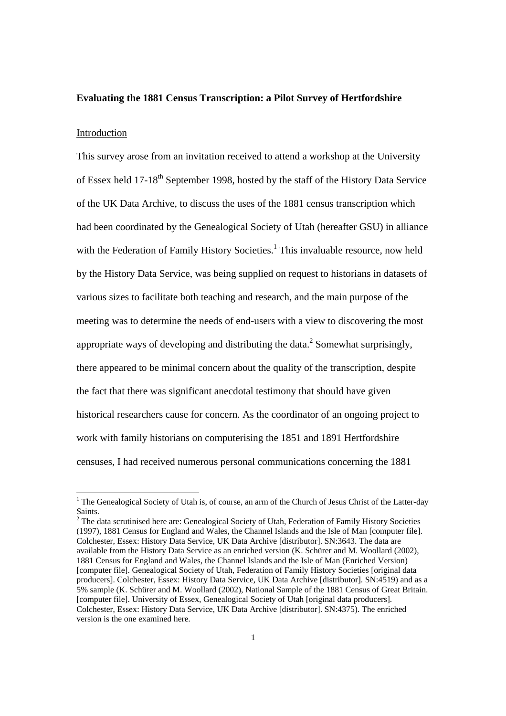### **Evaluating the 1881 Census Transcription: a Pilot Survey of Hertfordshire**

#### Introduction

This survey arose from an invitation received to attend a workshop at the University of Essex held 17-18<sup>th</sup> September 1998, hosted by the staff of the History Data Service of the UK Data Archive, to discuss the uses of the 1881 census transcription which had been coordinated by the Genealogical Society of Utah (hereafter GSU) in alliance with the Federation of Family History Societies.<sup>1</sup> This invaluable resource, now held by the History Data Service, was being supplied on request to historians in datasets of various sizes to facilitate both teaching and research, and the main purpose of the meeting was to determine the needs of end-users with a view to discovering the most appropriate ways of developing and distributing the data.<sup>2</sup> Somewhat surprisingly, there appeared to be minimal concern about the quality of the transcription, despite the fact that there was significant anecdotal testimony that should have given historical researchers cause for concern. As the coordinator of an ongoing project to work with family historians on computerising the 1851 and 1891 Hertfordshire censuses, I had received numerous personal communications concerning the 1881

 $\frac{1}{1}$  $1$  The Genealogical Society of Utah is, of course, an arm of the Church of Jesus Christ of the Latter-day Saints.<br><sup>2</sup> The data scrutinised here are: Genealogical Society of Utah, Federation of Family History Societies

<sup>(1997), 1881</sup> Census for England and Wales, the Channel Islands and the Isle of Man [computer file]. Colchester, Essex: History Data Service, UK Data Archive [distributor]. SN:3643. The data are available from the History Data Service as an enriched version (K. Schürer and M. Woollard (2002), 1881 Census for England and Wales, the Channel Islands and the Isle of Man (Enriched Version) [computer file]. Genealogical Society of Utah, Federation of Family History Societies [original data producers]. Colchester, Essex: History Data Service, UK Data Archive [distributor]. SN:4519) and as a 5% sample (K. Schürer and M. Woollard (2002), National Sample of the 1881 Census of Great Britain. [computer file]. University of Essex, Genealogical Society of Utah [original data producers]. Colchester, Essex: History Data Service, UK Data Archive [distributor]. SN:4375). The enriched version is the one examined here.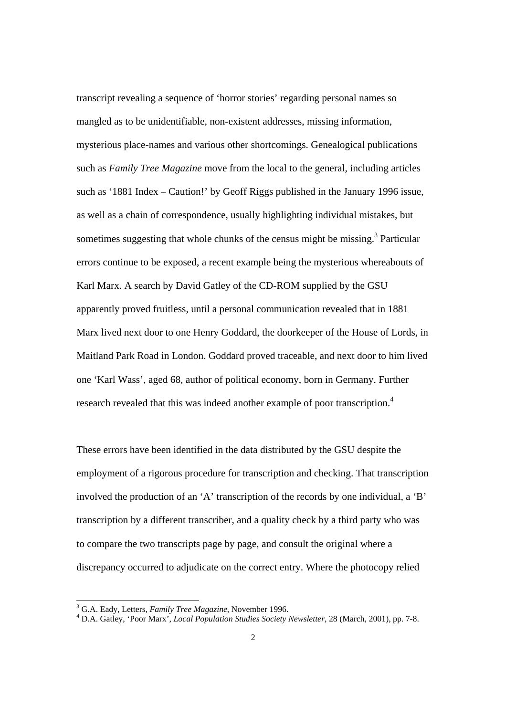transcript revealing a sequence of 'horror stories' regarding personal names so mangled as to be unidentifiable, non-existent addresses, missing information, mysterious place-names and various other shortcomings. Genealogical publications such as *Family Tree Magazine* move from the local to the general, including articles such as '1881 Index – Caution!' by Geoff Riggs published in the January 1996 issue, as well as a chain of correspondence, usually highlighting individual mistakes, but sometimes suggesting that whole chunks of the census might be missing.<sup>3</sup> Particular errors continue to be exposed, a recent example being the mysterious whereabouts of Karl Marx. A search by David Gatley of the CD-ROM supplied by the GSU apparently proved fruitless, until a personal communication revealed that in 1881 Marx lived next door to one Henry Goddard, the doorkeeper of the House of Lords, in Maitland Park Road in London. Goddard proved traceable, and next door to him lived one 'Karl Wass', aged 68, author of political economy, born in Germany. Further research revealed that this was indeed another example of poor transcription.<sup>4</sup>

These errors have been identified in the data distributed by the GSU despite the employment of a rigorous procedure for transcription and checking. That transcription involved the production of an 'A' transcription of the records by one individual, a 'B' transcription by a different transcriber, and a quality check by a third party who was to compare the two transcripts page by page, and consult the original where a discrepancy occurred to adjudicate on the correct entry. Where the photocopy relied

 <sup>3</sup> G.A. Eady, Letters, *Family Tree Magazine*, November 1996. 4

D.A. Gatley, 'Poor Marx', *Local Population Studies Society Newsletter*, 28 (March, 2001), pp. 7-8.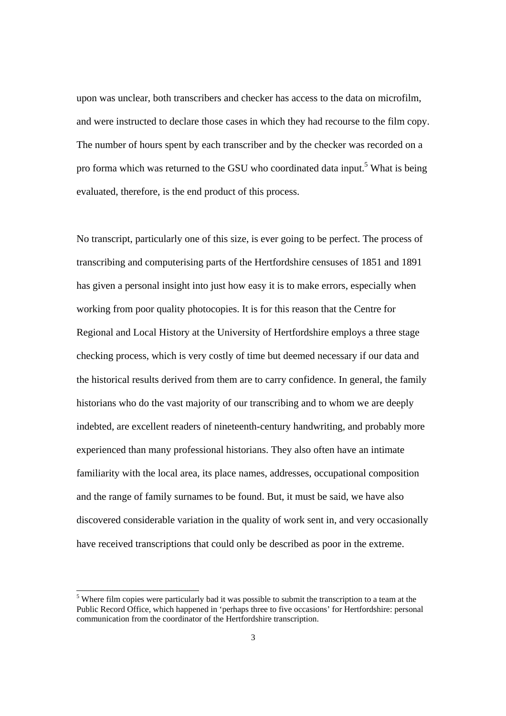upon was unclear, both transcribers and checker has access to the data on microfilm, and were instructed to declare those cases in which they had recourse to the film copy. The number of hours spent by each transcriber and by the checker was recorded on a pro forma which was returned to the GSU who coordinated data input.<sup>5</sup> What is being evaluated, therefore, is the end product of this process.

No transcript, particularly one of this size, is ever going to be perfect. The process of transcribing and computerising parts of the Hertfordshire censuses of 1851 and 1891 has given a personal insight into just how easy it is to make errors, especially when working from poor quality photocopies. It is for this reason that the Centre for Regional and Local History at the University of Hertfordshire employs a three stage checking process, which is very costly of time but deemed necessary if our data and the historical results derived from them are to carry confidence. In general, the family historians who do the vast majority of our transcribing and to whom we are deeply indebted, are excellent readers of nineteenth-century handwriting, and probably more experienced than many professional historians. They also often have an intimate familiarity with the local area, its place names, addresses, occupational composition and the range of family surnames to be found. But, it must be said, we have also discovered considerable variation in the quality of work sent in, and very occasionally have received transcriptions that could only be described as poor in the extreme.

 <sup>5</sup> Where film copies were particularly bad it was possible to submit the transcription to a team at the Public Record Office, which happened in 'perhaps three to five occasions' for Hertfordshire: personal communication from the coordinator of the Hertfordshire transcription.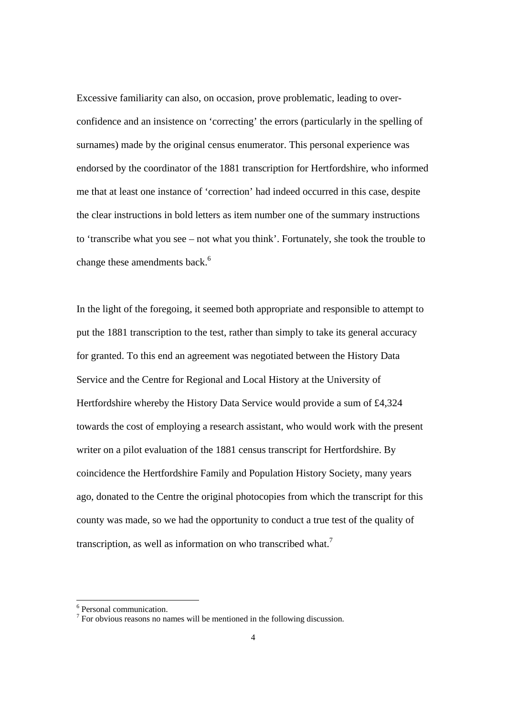Excessive familiarity can also, on occasion, prove problematic, leading to overconfidence and an insistence on 'correcting' the errors (particularly in the spelling of surnames) made by the original census enumerator. This personal experience was endorsed by the coordinator of the 1881 transcription for Hertfordshire, who informed me that at least one instance of 'correction' had indeed occurred in this case, despite the clear instructions in bold letters as item number one of the summary instructions to 'transcribe what you see – not what you think'. Fortunately, she took the trouble to change these amendments back.<sup>6</sup>

In the light of the foregoing, it seemed both appropriate and responsible to attempt to put the 1881 transcription to the test, rather than simply to take its general accuracy for granted. To this end an agreement was negotiated between the History Data Service and the Centre for Regional and Local History at the University of Hertfordshire whereby the History Data Service would provide a sum of £4,324 towards the cost of employing a research assistant, who would work with the present writer on a pilot evaluation of the 1881 census transcript for Hertfordshire. By coincidence the Hertfordshire Family and Population History Society, many years ago, donated to the Centre the original photocopies from which the transcript for this county was made, so we had the opportunity to conduct a true test of the quality of transcription, as well as information on who transcribed what.<sup>7</sup>

 <sup>6</sup> <sup>6</sup> Personal communication.

 $\frac{7}{1}$  For obvious reasons no names will be mentioned in the following discussion.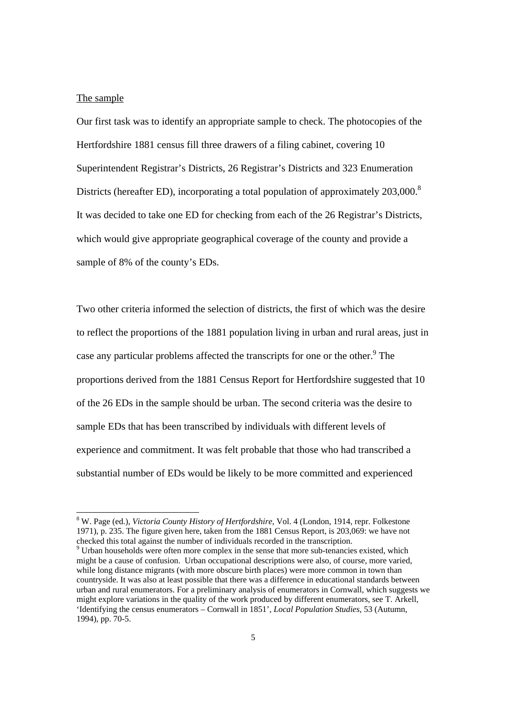### The sample

Our first task was to identify an appropriate sample to check. The photocopies of the Hertfordshire 1881 census fill three drawers of a filing cabinet, covering 10 Superintendent Registrar's Districts, 26 Registrar's Districts and 323 Enumeration Districts (hereafter ED), incorporating a total population of approximately  $203,000$ .<sup>8</sup> It was decided to take one ED for checking from each of the 26 Registrar's Districts, which would give appropriate geographical coverage of the county and provide a sample of 8% of the county's EDs.

Two other criteria informed the selection of districts, the first of which was the desire to reflect the proportions of the 1881 population living in urban and rural areas, just in case any particular problems affected the transcripts for one or the other.<sup>9</sup> The proportions derived from the 1881 Census Report for Hertfordshire suggested that 10 of the 26 EDs in the sample should be urban. The second criteria was the desire to sample EDs that has been transcribed by individuals with different levels of experience and commitment. It was felt probable that those who had transcribed a substantial number of EDs would be likely to be more committed and experienced

 <sup>8</sup> W. Page (ed.), *Victoria County History of Hertfordshire*, Vol. 4 (London, 1914, repr. Folkestone 1971), p. 235. The figure given here, taken from the 1881 Census Report, is 203,069: we have not checked this total against the number of individuals recorded in the transcription. <sup>9</sup>

<sup>&</sup>lt;sup>9</sup> Urban households were often more complex in the sense that more sub-tenancies existed, which might be a cause of confusion. Urban occupational descriptions were also, of course, more varied, while long distance migrants (with more obscure birth places) were more common in town than countryside. It was also at least possible that there was a difference in educational standards between urban and rural enumerators. For a preliminary analysis of enumerators in Cornwall, which suggests we might explore variations in the quality of the work produced by different enumerators, see T. Arkell, 'Identifying the census enumerators – Cornwall in 1851', *Local Population Studies*, 53 (Autumn, 1994), pp. 70-5.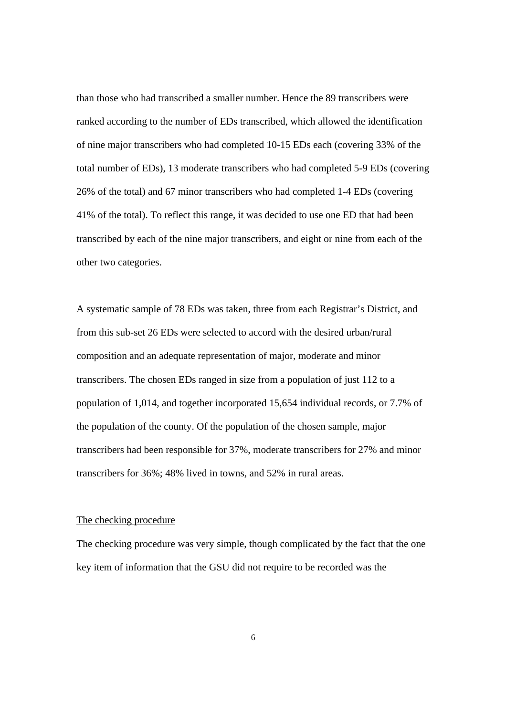than those who had transcribed a smaller number. Hence the 89 transcribers were ranked according to the number of EDs transcribed, which allowed the identification of nine major transcribers who had completed 10-15 EDs each (covering 33% of the total number of EDs), 13 moderate transcribers who had completed 5-9 EDs (covering 26% of the total) and 67 minor transcribers who had completed 1-4 EDs (covering 41% of the total). To reflect this range, it was decided to use one ED that had been transcribed by each of the nine major transcribers, and eight or nine from each of the other two categories.

A systematic sample of 78 EDs was taken, three from each Registrar's District, and from this sub-set 26 EDs were selected to accord with the desired urban/rural composition and an adequate representation of major, moderate and minor transcribers. The chosen EDs ranged in size from a population of just 112 to a population of 1,014, and together incorporated 15,654 individual records, or 7.7% of the population of the county. Of the population of the chosen sample, major transcribers had been responsible for 37%, moderate transcribers for 27% and minor transcribers for 36%; 48% lived in towns, and 52% in rural areas.

### The checking procedure

The checking procedure was very simple, though complicated by the fact that the one key item of information that the GSU did not require to be recorded was the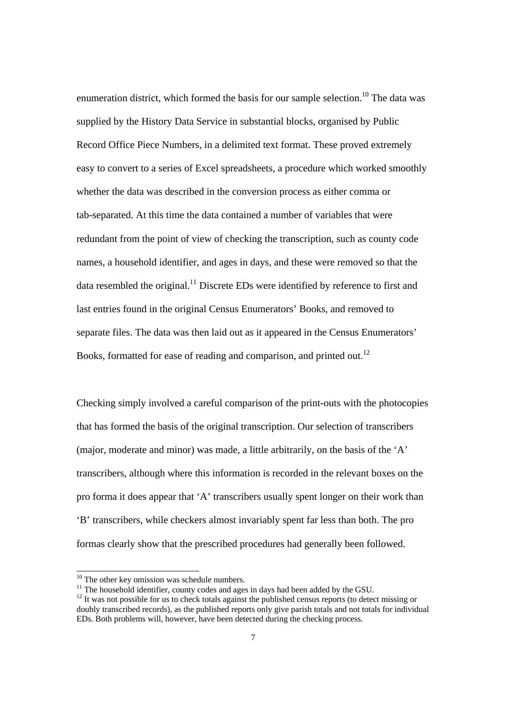enumeration district, which formed the basis for our sample selection.<sup>10</sup> The data was supplied by the History Data Service in substantial blocks, organised by Public Record Office Piece Numbers, in a delimited text format. These proved extremely easy to convert to a series of Excel spreadsheets, a procedure which worked smoothly whether the data was described in the conversion process as either comma or tab-separated. At this time the data contained a number of variables that were redundant from the point of view of checking the transcription, such as county code names, a household identifier, and ages in days, and these were removed so that the data resembled the original.<sup>11</sup> Discrete EDs were identified by reference to first and last entries found in the original Census Enumerators' Books, and removed to separate files. The data was then laid out as it appeared in the Census Enumerators' Books, formatted for ease of reading and comparison, and printed out.<sup>12</sup>

Checking simply involved a careful comparison of the print-outs with the photocopies that has formed the basis of the original transcription. Our selection of transcribers (major, moderate and minor) was made, a little arbitrarily, on the basis of the 'A' transcribers, although where this information is recorded in the relevant boxes on the pro forma it does appear that 'A' transcribers usually spent longer on their work than 'B' transcribers, while checkers almost invariably spent far less than both. The pro formas clearly show that the prescribed procedures had generally been followed.

<sup>&</sup>lt;sup>10</sup> The other key omission was schedule numbers.<br><sup>11</sup> The household identifier, county codes and ages in days had been added by the GSU.<br><sup>12</sup> It was not possible for us to check totals against the published census report

doubly transcribed records), as the published reports only give parish totals and not totals for individual EDs. Both problems will, however, have been detected during the checking process.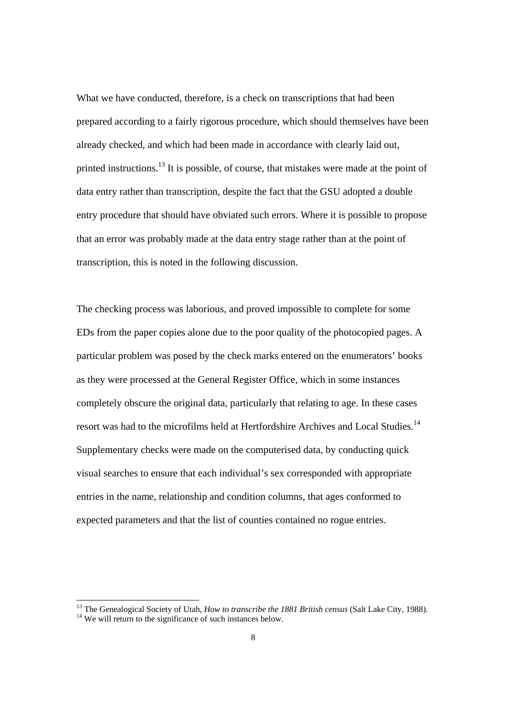What we have conducted, therefore, is a check on transcriptions that had been prepared according to a fairly rigorous procedure, which should themselves have been already checked, and which had been made in accordance with clearly laid out, printed instructions.<sup>13</sup> It is possible, of course, that mistakes were made at the point of data entry rather than transcription, despite the fact that the GSU adopted a double entry procedure that should have obviated such errors. Where it is possible to propose that an error was probably made at the data entry stage rather than at the point of transcription, this is noted in the following discussion.

The checking process was laborious, and proved impossible to complete for some EDs from the paper copies alone due to the poor quality of the photocopied pages. A particular problem was posed by the check marks entered on the enumerators' books as they were processed at the General Register Office, which in some instances completely obscure the original data, particularly that relating to age. In these cases resort was had to the microfilms held at Hertfordshire Archives and Local Studies.<sup>14</sup> Supplementary checks were made on the computerised data, by conducting quick visual searches to ensure that each individual's sex corresponded with appropriate entries in the name, relationship and condition columns, that ages conformed to expected parameters and that the list of counties contained no rogue entries.

<sup>&</sup>lt;sup>13</sup> The Genealogical Society of Utah, *How to transcribe the 1881 British census* (Salt Lake City, 1988). <sup>14</sup> We will return to the significance of such instances below.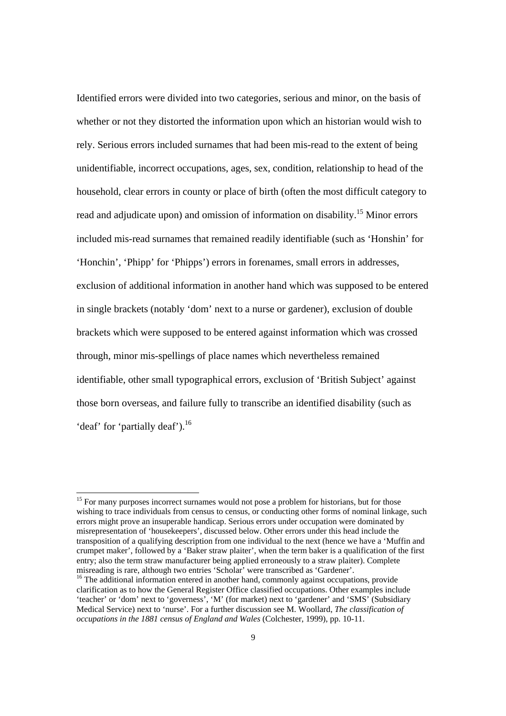Identified errors were divided into two categories, serious and minor, on the basis of whether or not they distorted the information upon which an historian would wish to rely. Serious errors included surnames that had been mis-read to the extent of being unidentifiable, incorrect occupations, ages, sex, condition, relationship to head of the household, clear errors in county or place of birth (often the most difficult category to read and adjudicate upon) and omission of information on disability.15 Minor errors included mis-read surnames that remained readily identifiable (such as 'Honshin' for 'Honchin', 'Phipp' for 'Phipps') errors in forenames, small errors in addresses, exclusion of additional information in another hand which was supposed to be entered in single brackets (notably 'dom' next to a nurse or gardener), exclusion of double brackets which were supposed to be entered against information which was crossed through, minor mis-spellings of place names which nevertheless remained identifiable, other small typographical errors, exclusion of 'British Subject' against those born overseas, and failure fully to transcribe an identified disability (such as 'deaf' for 'partially deaf').<sup>16</sup>

<sup>&</sup>lt;sup>15</sup> For many purposes incorrect surnames would not pose a problem for historians, but for those wishing to trace individuals from census to census, or conducting other forms of nominal linkage, such errors might prove an insuperable handicap. Serious errors under occupation were dominated by misrepresentation of 'housekeepers', discussed below. Other errors under this head include the transposition of a qualifying description from one individual to the next (hence we have a 'Muffin and crumpet maker', followed by a 'Baker straw plaiter', when the term baker is a qualification of the first entry; also the term straw manufacturer being applied erroneously to a straw plaiter). Complete misreading is rare, although two entries 'Scholar' were transcribed as 'Gardener'.<br><sup>16</sup> The additional information entered in another hand, commonly against occupations, provide

clarification as to how the General Register Office classified occupations. Other examples include 'teacher' or 'dom' next to 'governess', 'M' (for market) next to 'gardener' and 'SMS' (Subsidiary Medical Service) next to 'nurse'. For a further discussion see M. Woollard, *The classification of occupations in the 1881 census of England and Wales* (Colchester, 1999), pp. 10-11.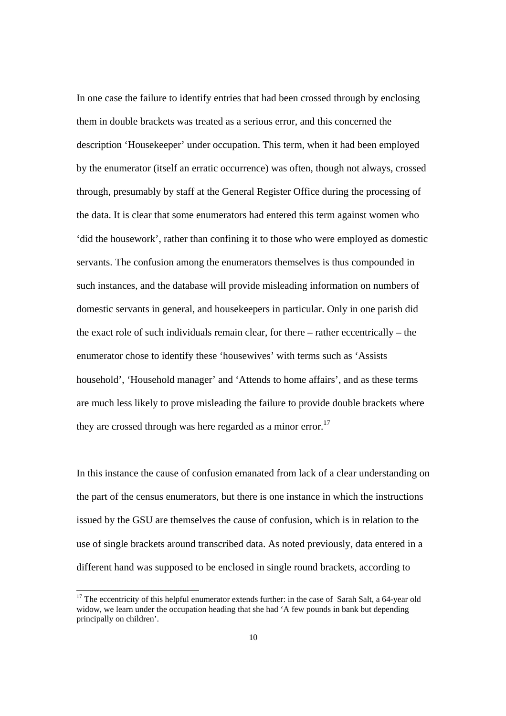In one case the failure to identify entries that had been crossed through by enclosing them in double brackets was treated as a serious error, and this concerned the description 'Housekeeper' under occupation. This term, when it had been employed by the enumerator (itself an erratic occurrence) was often, though not always, crossed through, presumably by staff at the General Register Office during the processing of the data. It is clear that some enumerators had entered this term against women who 'did the housework', rather than confining it to those who were employed as domestic servants. The confusion among the enumerators themselves is thus compounded in such instances, and the database will provide misleading information on numbers of domestic servants in general, and housekeepers in particular. Only in one parish did the exact role of such individuals remain clear, for there – rather eccentrically – the enumerator chose to identify these 'housewives' with terms such as 'Assists household', 'Household manager' and 'Attends to home affairs', and as these terms are much less likely to prove misleading the failure to provide double brackets where they are crossed through was here regarded as a minor error.<sup>17</sup>

In this instance the cause of confusion emanated from lack of a clear understanding on the part of the census enumerators, but there is one instance in which the instructions issued by the GSU are themselves the cause of confusion, which is in relation to the use of single brackets around transcribed data. As noted previously, data entered in a different hand was supposed to be enclosed in single round brackets, according to

<sup>&</sup>lt;sup>17</sup> The eccentricity of this helpful enumerator extends further: in the case of Sarah Salt, a 64-year old widow, we learn under the occupation heading that she had 'A few pounds in bank but depending principally on children'.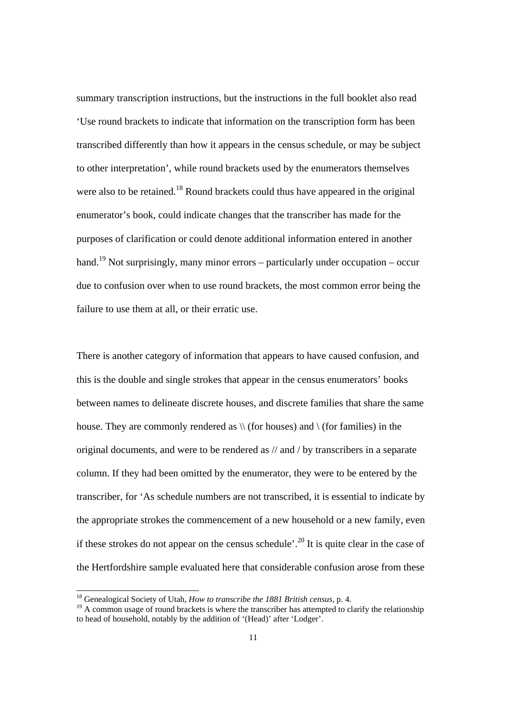summary transcription instructions, but the instructions in the full booklet also read 'Use round brackets to indicate that information on the transcription form has been transcribed differently than how it appears in the census schedule, or may be subject to other interpretation', while round brackets used by the enumerators themselves were also to be retained.<sup>18</sup> Round brackets could thus have appeared in the original enumerator's book, could indicate changes that the transcriber has made for the purposes of clarification or could denote additional information entered in another hand.<sup>19</sup> Not surprisingly, many minor errors – particularly under occupation – occur due to confusion over when to use round brackets, the most common error being the failure to use them at all, or their erratic use.

There is another category of information that appears to have caused confusion, and this is the double and single strokes that appear in the census enumerators' books between names to delineate discrete houses, and discrete families that share the same house. They are commonly rendered as  $\setminus \setminus$  (for houses) and  $\setminus$  (for families) in the original documents, and were to be rendered as // and / by transcribers in a separate column. If they had been omitted by the enumerator, they were to be entered by the transcriber, for 'As schedule numbers are not transcribed, it is essential to indicate by the appropriate strokes the commencement of a new household or a new family, even if these strokes do not appear on the census schedule'.<sup>20</sup> It is quite clear in the case of the Hertfordshire sample evaluated here that considerable confusion arose from these

 <sup>18</sup> Genealogical Society of Utah, *How to transcribe the 1881 British census*, p. 4.

<sup>&</sup>lt;sup>19</sup> A common usage of round brackets is where the transcriber has attempted to clarify the relationship to head of household, notably by the addition of '(Head)' after 'Lodger'.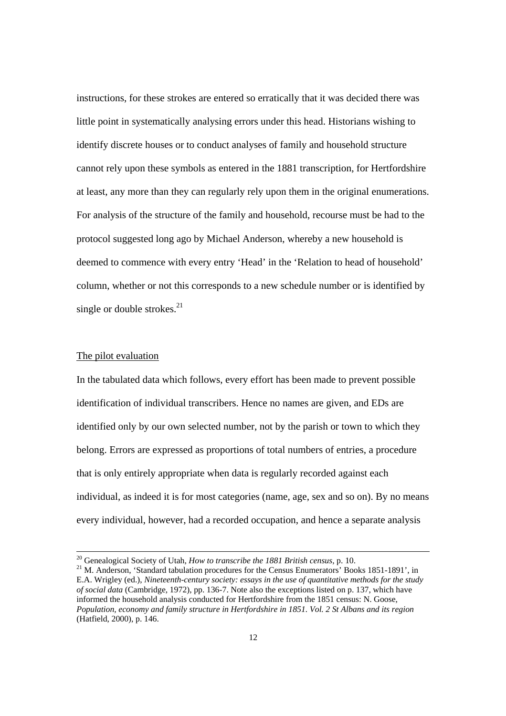instructions, for these strokes are entered so erratically that it was decided there was little point in systematically analysing errors under this head. Historians wishing to identify discrete houses or to conduct analyses of family and household structure cannot rely upon these symbols as entered in the 1881 transcription, for Hertfordshire at least, any more than they can regularly rely upon them in the original enumerations. For analysis of the structure of the family and household, recourse must be had to the protocol suggested long ago by Michael Anderson, whereby a new household is deemed to commence with every entry 'Head' in the 'Relation to head of household' column, whether or not this corresponds to a new schedule number or is identified by single or double strokes. $^{21}$ 

### The pilot evaluation

In the tabulated data which follows, every effort has been made to prevent possible identification of individual transcribers. Hence no names are given, and EDs are identified only by our own selected number, not by the parish or town to which they belong. Errors are expressed as proportions of total numbers of entries, a procedure that is only entirely appropriate when data is regularly recorded against each individual, as indeed it is for most categories (name, age, sex and so on). By no means every individual, however, had a recorded occupation, and hence a separate analysis

<sup>&</sup>lt;sup>20</sup> Genealogical Society of Utah, *How to transcribe the 1881 British census*, p. 10.<br><sup>21</sup> M. Anderson, 'Standard tabulation procedures for the Census Enumerators' Books 1851-1891', in E.A. Wrigley (ed.), *Nineteenth-century society: essays in the use of quantitative methods for the study of social data* (Cambridge, 1972), pp. 136-7. Note also the exceptions listed on p. 137, which have informed the household analysis conducted for Hertfordshire from the 1851 census: N. Goose, *Population, economy and family structure in Hertfordshire in 1851. Vol. 2 St Albans and its region* (Hatfield, 2000), p. 146.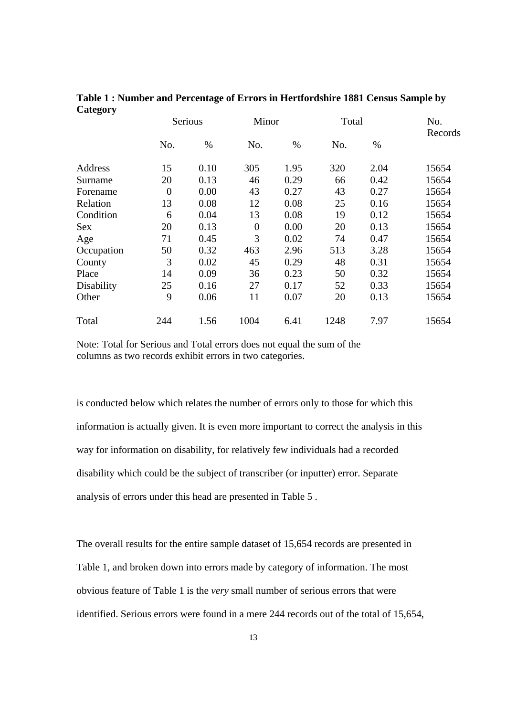| ັ          | <b>Serious</b> |      | Minor          |      | Total |      | No.<br>Records |  |
|------------|----------------|------|----------------|------|-------|------|----------------|--|
|            | No.            | $\%$ | No.            | $\%$ | No.   | $\%$ |                |  |
| Address    | 15             | 0.10 | 305            | 1.95 | 320   | 2.04 | 15654          |  |
| Surname    | 20             | 0.13 | 46             | 0.29 | 66    | 0.42 | 15654          |  |
| Forename   | $\overline{0}$ | 0.00 | 43             | 0.27 | 43    | 0.27 | 15654          |  |
| Relation   | 13             | 0.08 | 12             | 0.08 | 25    | 0.16 | 15654          |  |
| Condition  | 6              | 0.04 | 13             | 0.08 | 19    | 0.12 | 15654          |  |
| <b>Sex</b> | 20             | 0.13 | $\overline{0}$ | 0.00 | 20    | 0.13 | 15654          |  |
| Age        | 71             | 0.45 | 3              | 0.02 | 74    | 0.47 | 15654          |  |
| Occupation | 50             | 0.32 | 463            | 2.96 | 513   | 3.28 | 15654          |  |
| County     | 3              | 0.02 | 45             | 0.29 | 48    | 0.31 | 15654          |  |
| Place      | 14             | 0.09 | 36             | 0.23 | 50    | 0.32 | 15654          |  |
| Disability | 25             | 0.16 | 27             | 0.17 | 52    | 0.33 | 15654          |  |
| Other      | 9              | 0.06 | 11             | 0.07 | 20    | 0.13 | 15654          |  |
| Total      | 244            | 1.56 | 1004           | 6.41 | 1248  | 7.97 | 15654          |  |

# **Table 1 : Number and Percentage of Errors in Hertfordshire 1881 Census Sample by Category**

Note: Total for Serious and Total errors does not equal the sum of the columns as two records exhibit errors in two categories.

is conducted below which relates the number of errors only to those for which this information is actually given. It is even more important to correct the analysis in this way for information on disability, for relatively few individuals had a recorded disability which could be the subject of transcriber (or inputter) error. Separate analysis of errors under this head are presented in Table 5 .

The overall results for the entire sample dataset of 15,654 records are presented in Table 1, and broken down into errors made by category of information. The most obvious feature of Table 1 is the *very* small number of serious errors that were identified. Serious errors were found in a mere 244 records out of the total of 15,654,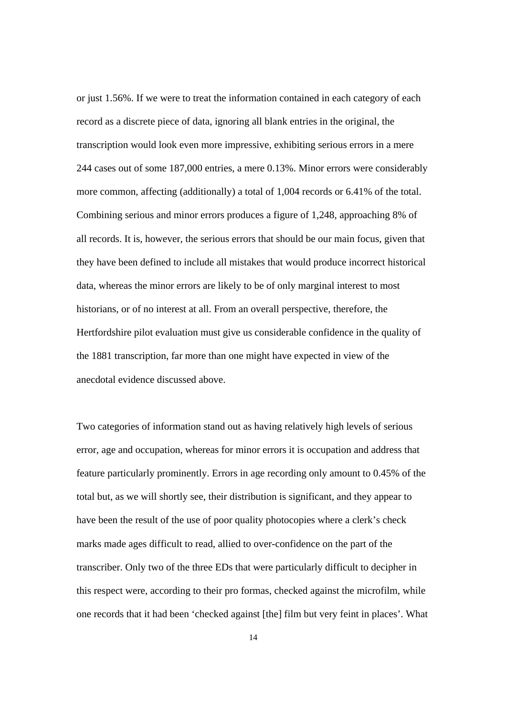or just 1.56%. If we were to treat the information contained in each category of each record as a discrete piece of data, ignoring all blank entries in the original, the transcription would look even more impressive, exhibiting serious errors in a mere 244 cases out of some 187,000 entries, a mere 0.13%. Minor errors were considerably more common, affecting (additionally) a total of 1,004 records or 6.41% of the total. Combining serious and minor errors produces a figure of 1,248, approaching 8% of all records. It is, however, the serious errors that should be our main focus, given that they have been defined to include all mistakes that would produce incorrect historical data, whereas the minor errors are likely to be of only marginal interest to most historians, or of no interest at all. From an overall perspective, therefore, the Hertfordshire pilot evaluation must give us considerable confidence in the quality of the 1881 transcription, far more than one might have expected in view of the anecdotal evidence discussed above.

Two categories of information stand out as having relatively high levels of serious error, age and occupation, whereas for minor errors it is occupation and address that feature particularly prominently. Errors in age recording only amount to 0.45% of the total but, as we will shortly see, their distribution is significant, and they appear to have been the result of the use of poor quality photocopies where a clerk's check marks made ages difficult to read, allied to over-confidence on the part of the transcriber. Only two of the three EDs that were particularly difficult to decipher in this respect were, according to their pro formas, checked against the microfilm, while one records that it had been 'checked against [the] film but very feint in places'. What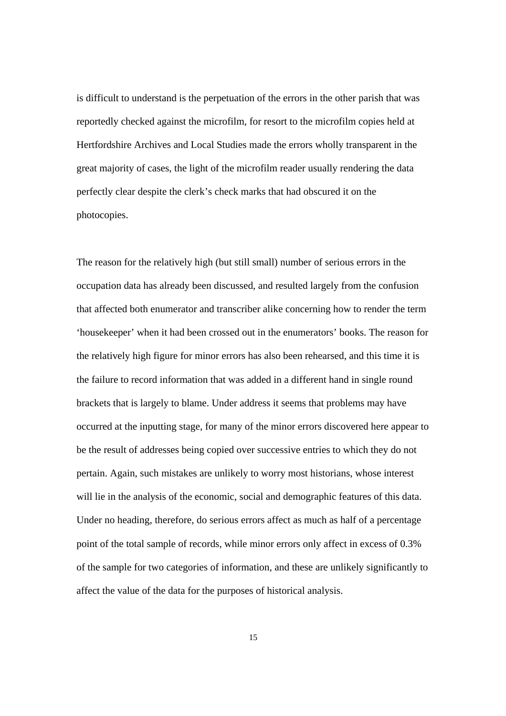is difficult to understand is the perpetuation of the errors in the other parish that was reportedly checked against the microfilm, for resort to the microfilm copies held at Hertfordshire Archives and Local Studies made the errors wholly transparent in the great majority of cases, the light of the microfilm reader usually rendering the data perfectly clear despite the clerk's check marks that had obscured it on the photocopies.

The reason for the relatively high (but still small) number of serious errors in the occupation data has already been discussed, and resulted largely from the confusion that affected both enumerator and transcriber alike concerning how to render the term 'housekeeper' when it had been crossed out in the enumerators' books. The reason for the relatively high figure for minor errors has also been rehearsed, and this time it is the failure to record information that was added in a different hand in single round brackets that is largely to blame. Under address it seems that problems may have occurred at the inputting stage, for many of the minor errors discovered here appear to be the result of addresses being copied over successive entries to which they do not pertain. Again, such mistakes are unlikely to worry most historians, whose interest will lie in the analysis of the economic, social and demographic features of this data. Under no heading, therefore, do serious errors affect as much as half of a percentage point of the total sample of records, while minor errors only affect in excess of 0.3% of the sample for two categories of information, and these are unlikely significantly to affect the value of the data for the purposes of historical analysis.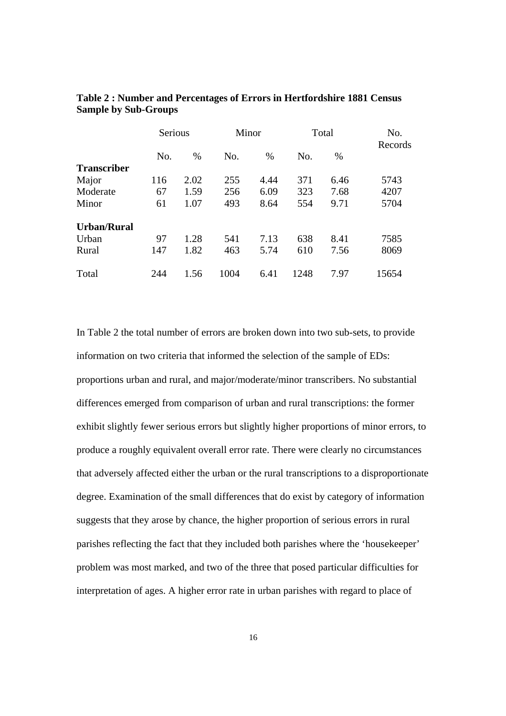|                    | Serious |      | Minor |      | Total |      | No.<br>Records |
|--------------------|---------|------|-------|------|-------|------|----------------|
|                    | No.     | $\%$ | No.   | $\%$ | No.   | $\%$ |                |
| <b>Transcriber</b> |         |      |       |      |       |      |                |
| Major              | 116     | 2.02 | 255   | 4.44 | 371   | 6.46 | 5743           |
| Moderate           | 67      | 1.59 | 256   | 6.09 | 323   | 7.68 | 4207           |
| Minor              | 61      | 1.07 | 493   | 8.64 | 554   | 9.71 | 5704           |
| <b>Urban/Rural</b> |         |      |       |      |       |      |                |
| Urban              | 97      | 1.28 | 541   | 7.13 | 638   | 8.41 | 7585           |
| Rural              | 147     | 1.82 | 463   | 5.74 | 610   | 7.56 | 8069           |
| Total              | 244     | 1.56 | 1004  | 6.41 | 1248  | 7.97 | 15654          |

**Table 2 : Number and Percentages of Errors in Hertfordshire 1881 Census Sample by Sub-Groups** 

In Table 2 the total number of errors are broken down into two sub-sets, to provide information on two criteria that informed the selection of the sample of EDs: proportions urban and rural, and major/moderate/minor transcribers. No substantial differences emerged from comparison of urban and rural transcriptions: the former exhibit slightly fewer serious errors but slightly higher proportions of minor errors, to produce a roughly equivalent overall error rate. There were clearly no circumstances that adversely affected either the urban or the rural transcriptions to a disproportionate degree. Examination of the small differences that do exist by category of information suggests that they arose by chance, the higher proportion of serious errors in rural parishes reflecting the fact that they included both parishes where the 'housekeeper' problem was most marked, and two of the three that posed particular difficulties for interpretation of ages. A higher error rate in urban parishes with regard to place of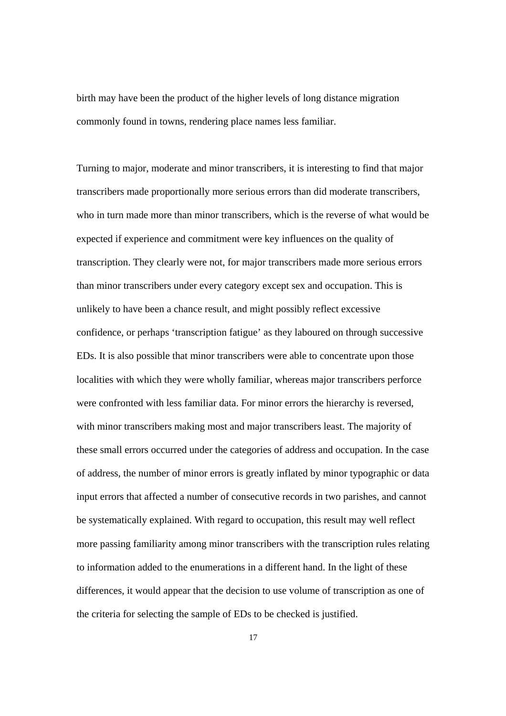birth may have been the product of the higher levels of long distance migration commonly found in towns, rendering place names less familiar.

Turning to major, moderate and minor transcribers, it is interesting to find that major transcribers made proportionally more serious errors than did moderate transcribers, who in turn made more than minor transcribers, which is the reverse of what would be expected if experience and commitment were key influences on the quality of transcription. They clearly were not, for major transcribers made more serious errors than minor transcribers under every category except sex and occupation. This is unlikely to have been a chance result, and might possibly reflect excessive confidence, or perhaps 'transcription fatigue' as they laboured on through successive EDs. It is also possible that minor transcribers were able to concentrate upon those localities with which they were wholly familiar, whereas major transcribers perforce were confronted with less familiar data. For minor errors the hierarchy is reversed, with minor transcribers making most and major transcribers least. The majority of these small errors occurred under the categories of address and occupation. In the case of address, the number of minor errors is greatly inflated by minor typographic or data input errors that affected a number of consecutive records in two parishes, and cannot be systematically explained. With regard to occupation, this result may well reflect more passing familiarity among minor transcribers with the transcription rules relating to information added to the enumerations in a different hand. In the light of these differences, it would appear that the decision to use volume of transcription as one of the criteria for selecting the sample of EDs to be checked is justified.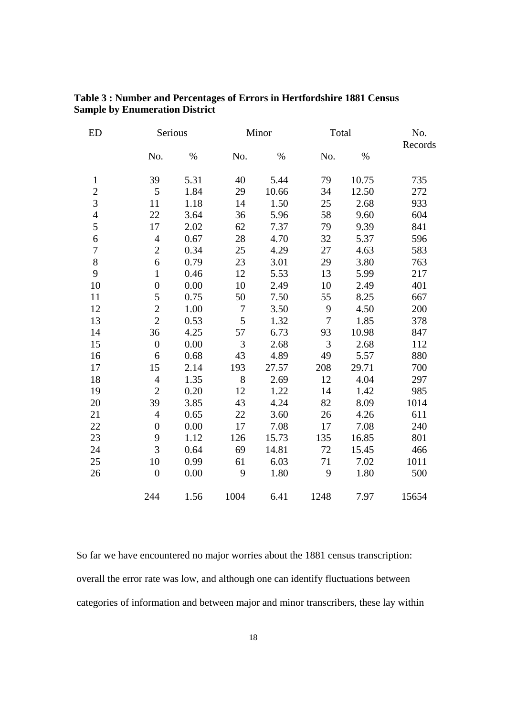| Table 3: Number and Percentages of Errors in Hertfordshire 1881 Census |  |
|------------------------------------------------------------------------|--|
| <b>Sample by Enumeration District</b>                                  |  |

| <b>ED</b>      |                  | Serious |        | Minor |                | Total |         |  |
|----------------|------------------|---------|--------|-------|----------------|-------|---------|--|
|                | No.              | $\%$    | No.    | $\%$  | No.            | $\%$  | Records |  |
| $\mathbf{1}$   | 39               | 5.31    | 40     | 5.44  | 79             | 10.75 | 735     |  |
| $\overline{2}$ | 5                | 1.84    | 29     | 10.66 | 34             | 12.50 | 272     |  |
| $\overline{3}$ | 11               | 1.18    | 14     | 1.50  | 25             | 2.68  | 933     |  |
| $\overline{4}$ | 22               | 3.64    | 36     | 5.96  | 58             | 9.60  | 604     |  |
| 5              | 17               | 2.02    | 62     | 7.37  | 79             | 9.39  | 841     |  |
| 6              | $\overline{4}$   | 0.67    | 28     | 4.70  | 32             | 5.37  | 596     |  |
| $\overline{7}$ | $\overline{2}$   | 0.34    | 25     | 4.29  | 27             | 4.63  | 583     |  |
| $8\,$          | 6                | 0.79    | 23     | 3.01  | 29             | 3.80  | 763     |  |
| 9              | $\mathbf{1}$     | 0.46    | 12     | 5.53  | 13             | 5.99  | 217     |  |
| 10             | $\boldsymbol{0}$ | 0.00    | 10     | 2.49  | 10             | 2.49  | 401     |  |
| 11             | 5                | 0.75    | 50     | 7.50  | 55             | 8.25  | 667     |  |
| 12             | $\overline{2}$   | 1.00    | $\tau$ | 3.50  | 9              | 4.50  | 200     |  |
| 13             | $\overline{2}$   | 0.53    | 5      | 1.32  | $\overline{7}$ | 1.85  | 378     |  |
| 14             | 36               | 4.25    | 57     | 6.73  | 93             | 10.98 | 847     |  |
| 15             | $\overline{0}$   | 0.00    | 3      | 2.68  | 3              | 2.68  | 112     |  |
| 16             | 6                | 0.68    | 43     | 4.89  | 49             | 5.57  | 880     |  |
| 17             | 15               | 2.14    | 193    | 27.57 | 208            | 29.71 | 700     |  |
| 18             | $\overline{4}$   | 1.35    | 8      | 2.69  | 12             | 4.04  | 297     |  |
| 19             | $\overline{2}$   | 0.20    | 12     | 1.22  | 14             | 1.42  | 985     |  |
| 20             | 39               | 3.85    | 43     | 4.24  | 82             | 8.09  | 1014    |  |
| 21             | $\overline{4}$   | 0.65    | 22     | 3.60  | 26             | 4.26  | 611     |  |
| 22             | $\overline{0}$   | 0.00    | 17     | 7.08  | 17             | 7.08  | 240     |  |
| 23             | 9                | 1.12    | 126    | 15.73 | 135            | 16.85 | 801     |  |
| 24             | 3                | 0.64    | 69     | 14.81 | 72             | 15.45 | 466     |  |
| 25             | 10               | 0.99    | 61     | 6.03  | 71             | 7.02  | 1011    |  |
| 26             | $\overline{0}$   | 0.00    | 9      | 1.80  | 9              | 1.80  | 500     |  |
|                | 244              | 1.56    | 1004   | 6.41  | 1248           | 7.97  | 15654   |  |

So far we have encountered no major worries about the 1881 census transcription: overall the error rate was low, and although one can identify fluctuations between categories of information and between major and minor transcribers, these lay within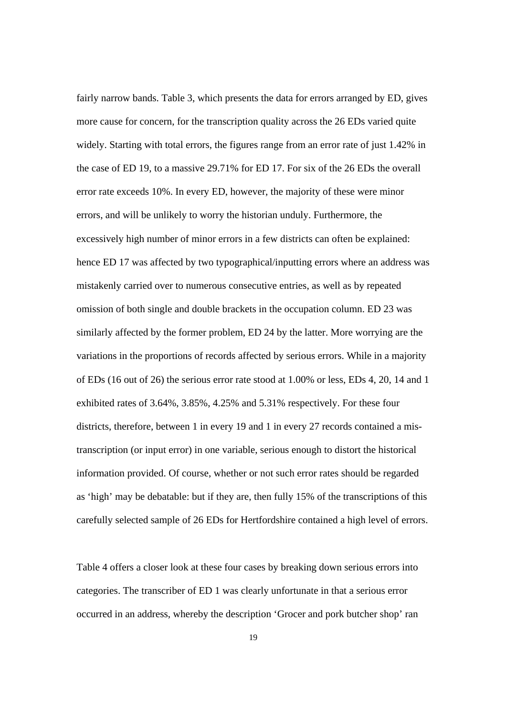fairly narrow bands. Table 3, which presents the data for errors arranged by ED, gives more cause for concern, for the transcription quality across the 26 EDs varied quite widely. Starting with total errors, the figures range from an error rate of just 1.42% in the case of ED 19, to a massive 29.71% for ED 17. For six of the 26 EDs the overall error rate exceeds 10%. In every ED, however, the majority of these were minor errors, and will be unlikely to worry the historian unduly. Furthermore, the excessively high number of minor errors in a few districts can often be explained: hence ED 17 was affected by two typographical/inputting errors where an address was mistakenly carried over to numerous consecutive entries, as well as by repeated omission of both single and double brackets in the occupation column. ED 23 was similarly affected by the former problem, ED 24 by the latter. More worrying are the variations in the proportions of records affected by serious errors. While in a majority of EDs (16 out of 26) the serious error rate stood at 1.00% or less, EDs 4, 20, 14 and 1 exhibited rates of 3.64%, 3.85%, 4.25% and 5.31% respectively. For these four districts, therefore, between 1 in every 19 and 1 in every 27 records contained a mistranscription (or input error) in one variable, serious enough to distort the historical information provided. Of course, whether or not such error rates should be regarded as 'high' may be debatable: but if they are, then fully 15% of the transcriptions of this carefully selected sample of 26 EDs for Hertfordshire contained a high level of errors.

Table 4 offers a closer look at these four cases by breaking down serious errors into categories. The transcriber of ED 1 was clearly unfortunate in that a serious error occurred in an address, whereby the description 'Grocer and pork butcher shop' ran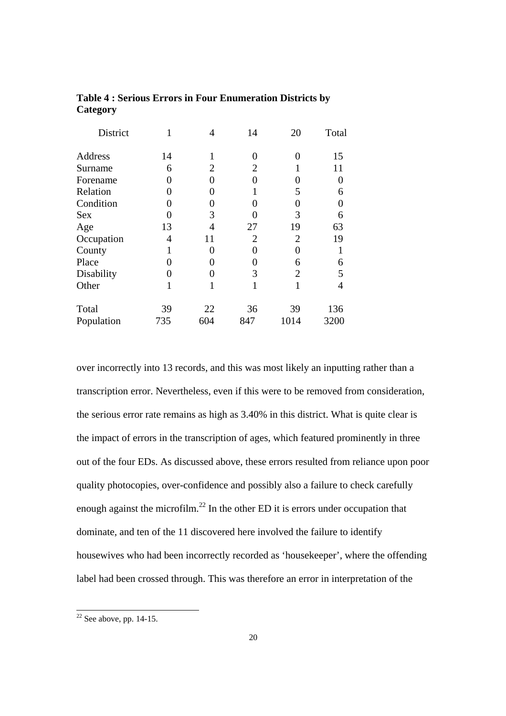| District   |     | 4                 | 14             | 20             | Total          |
|------------|-----|-------------------|----------------|----------------|----------------|
| Address    | 14  | 1                 | 0              | 0              | 15             |
| Surname    | 6   | $\overline{2}$    | 2              |                | 11             |
| Forename   | 0   | 0                 | 0              |                | 0              |
| Relation   | 0   |                   |                | 5              | 6              |
| Condition  | 0   | $\mathbf{\Omega}$ | 0              | 0              | $\overline{0}$ |
| <b>Sex</b> | O   | 3                 |                | 3              | 6              |
| Age        | 13  | 4                 | 27             | 19             | 63             |
| Occupation | 4   | 11                | $\overline{2}$ | $\overline{2}$ | 19             |
| County     |     | 0                 | 0              | 0              |                |
| Place      | 0   |                   | 0              | 6              | 6              |
| Disability | 0   | 0                 | 3              | $\overline{2}$ | 5              |
| Other      | 1   |                   |                | 1              | 4              |
| Total      | 39  | 22                | 36             | 39             | 136            |
| Population | 735 | 604               | 847            | 1014           | 3200           |

# **Table 4 : Serious Errors in Four Enumeration Districts by Category**

over incorrectly into 13 records, and this was most likely an inputting rather than a transcription error. Nevertheless, even if this were to be removed from consideration, the serious error rate remains as high as 3.40% in this district. What is quite clear is the impact of errors in the transcription of ages, which featured prominently in three out of the four EDs. As discussed above, these errors resulted from reliance upon poor quality photocopies, over-confidence and possibly also a failure to check carefully enough against the microfilm. $^{22}$  In the other ED it is errors under occupation that dominate, and ten of the 11 discovered here involved the failure to identify housewives who had been incorrectly recorded as 'housekeeper', where the offending label had been crossed through. This was therefore an error in interpretation of the

 $22$  See above, pp. 14-15.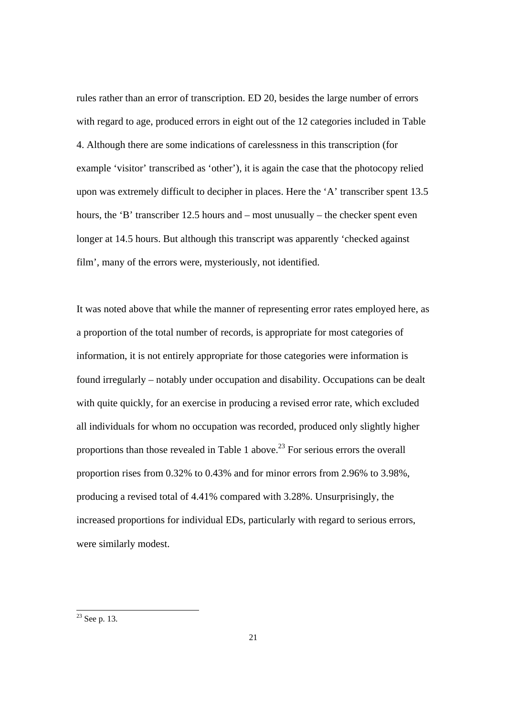rules rather than an error of transcription. ED 20, besides the large number of errors with regard to age, produced errors in eight out of the 12 categories included in Table 4. Although there are some indications of carelessness in this transcription (for example 'visitor' transcribed as 'other'), it is again the case that the photocopy relied upon was extremely difficult to decipher in places. Here the 'A' transcriber spent 13.5 hours, the 'B' transcriber 12.5 hours and – most unusually – the checker spent even longer at 14.5 hours. But although this transcript was apparently 'checked against film', many of the errors were, mysteriously, not identified.

It was noted above that while the manner of representing error rates employed here, as a proportion of the total number of records, is appropriate for most categories of information, it is not entirely appropriate for those categories were information is found irregularly – notably under occupation and disability. Occupations can be dealt with quite quickly, for an exercise in producing a revised error rate, which excluded all individuals for whom no occupation was recorded, produced only slightly higher proportions than those revealed in Table 1 above.<sup>23</sup> For serious errors the overall proportion rises from 0.32% to 0.43% and for minor errors from 2.96% to 3.98%, producing a revised total of 4.41% compared with 3.28%. Unsurprisingly, the increased proportions for individual EDs, particularly with regard to serious errors, were similarly modest.

 $23$  See p. 13.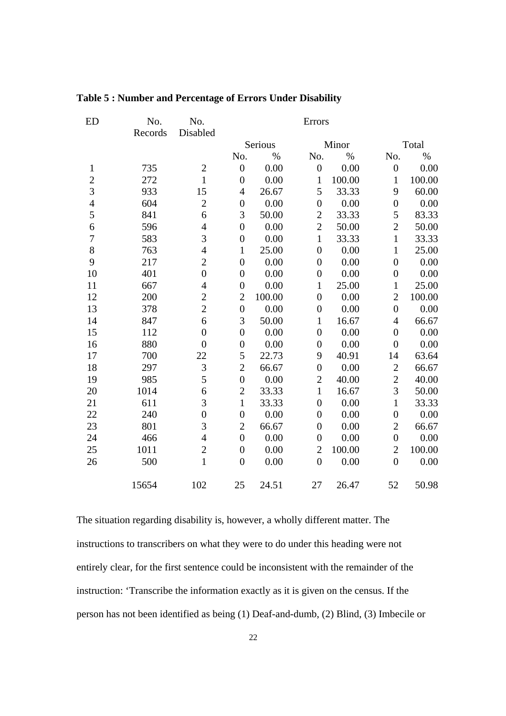| ED               | No.     | No.              | Errors           |        |                  |        |                  |        |  |
|------------------|---------|------------------|------------------|--------|------------------|--------|------------------|--------|--|
|                  | Records | Disabled         |                  |        |                  |        |                  |        |  |
|                  |         |                  | Serious          |        |                  | Minor  |                  | Total  |  |
|                  |         |                  | No.              | $\%$   | No.              | $\%$   | No.              | $\%$   |  |
| $\mathbf{1}$     | 735     | $\mathbf{2}$     | $\boldsymbol{0}$ | 0.00   | $\boldsymbol{0}$ | 0.00   | $\boldsymbol{0}$ | 0.00   |  |
| $\overline{c}$   | 272     | $\mathbf{1}$     | $\boldsymbol{0}$ | 0.00   | $\mathbf{1}$     | 100.00 | $\mathbf{1}$     | 100.00 |  |
| $\overline{3}$   | 933     | 15               | $\overline{4}$   | 26.67  | 5                | 33.33  | 9                | 60.00  |  |
| $\overline{4}$   | 604     | $\overline{2}$   | $\boldsymbol{0}$ | 0.00   | $\boldsymbol{0}$ | 0.00   | $\boldsymbol{0}$ | 0.00   |  |
| 5                | 841     | 6                | 3                | 50.00  | $\overline{2}$   | 33.33  | 5                | 83.33  |  |
| $\overline{6}$   | 596     | $\overline{4}$   | $\overline{0}$   | 0.00   | $\overline{2}$   | 50.00  | $\overline{c}$   | 50.00  |  |
| $\boldsymbol{7}$ | 583     | 3                | $\boldsymbol{0}$ | 0.00   | $\mathbf{1}$     | 33.33  | $\mathbf{1}$     | 33.33  |  |
| 8                | 763     | $\overline{4}$   | $\mathbf{1}$     | 25.00  | $\boldsymbol{0}$ | 0.00   | $\mathbf{1}$     | 25.00  |  |
| 9                | 217     | $\overline{2}$   | $\boldsymbol{0}$ | 0.00   | $\boldsymbol{0}$ | 0.00   | $\boldsymbol{0}$ | 0.00   |  |
| 10               | 401     | $\overline{0}$   | $\boldsymbol{0}$ | 0.00   | $\boldsymbol{0}$ | 0.00   | $\boldsymbol{0}$ | 0.00   |  |
| 11               | 667     | $\overline{4}$   | $\boldsymbol{0}$ | 0.00   | $\mathbf{1}$     | 25.00  | $\mathbf{1}$     | 25.00  |  |
| 12               | 200     | $\overline{c}$   | $\mathbf{2}$     | 100.00 | $\boldsymbol{0}$ | 0.00   | $\overline{2}$   | 100.00 |  |
| 13               | 378     | $\overline{2}$   | $\boldsymbol{0}$ | 0.00   | $\boldsymbol{0}$ | 0.00   | $\boldsymbol{0}$ | 0.00   |  |
| 14               | 847     | 6                | 3                | 50.00  | $\mathbf{1}$     | 16.67  | $\overline{4}$   | 66.67  |  |
| 15               | 112     | $\overline{0}$   | $\boldsymbol{0}$ | 0.00   | $\boldsymbol{0}$ | 0.00   | $\boldsymbol{0}$ | 0.00   |  |
| 16               | 880     | $\boldsymbol{0}$ | $\boldsymbol{0}$ | 0.00   | $\boldsymbol{0}$ | 0.00   | $\boldsymbol{0}$ | 0.00   |  |
| 17               | 700     | 22               | 5                | 22.73  | 9                | 40.91  | 14               | 63.64  |  |
| 18               | 297     | 3                | $\overline{2}$   | 66.67  | $\boldsymbol{0}$ | 0.00   | $\overline{2}$   | 66.67  |  |
| 19               | 985     | 5                | $\boldsymbol{0}$ | 0.00   | $\overline{2}$   | 40.00  | $\overline{2}$   | 40.00  |  |
| 20               | 1014    | 6                | $\mathbf{2}$     | 33.33  | $\mathbf{1}$     | 16.67  | 3                | 50.00  |  |
| 21               | 611     | 3                | $\mathbf{1}$     | 33.33  | $\boldsymbol{0}$ | 0.00   | $\mathbf{1}$     | 33.33  |  |
| 22               | 240     | $\overline{0}$   | $\boldsymbol{0}$ | 0.00   | $\boldsymbol{0}$ | 0.00   | $\boldsymbol{0}$ | 0.00   |  |
| 23               | 801     | 3                | $\mathbf{2}$     | 66.67  | $\boldsymbol{0}$ | 0.00   | $\overline{2}$   | 66.67  |  |
| 24               | 466     | $\overline{4}$   | $\boldsymbol{0}$ | 0.00   | $\boldsymbol{0}$ | 0.00   | $\boldsymbol{0}$ | 0.00   |  |
| 25               | 1011    | $\overline{c}$   | $\overline{0}$   | 0.00   | $\mathbf{2}$     | 100.00 | $\overline{2}$   | 100.00 |  |
| 26               | 500     | $\overline{1}$   | $\overline{0}$   | 0.00   | $\boldsymbol{0}$ | 0.00   | $\overline{0}$   | 0.00   |  |
|                  | 15654   | 102              | 25               | 24.51  | 27               | 26.47  | 52               | 50.98  |  |

# **Table 5 : Number and Percentage of Errors Under Disability**

The situation regarding disability is, however, a wholly different matter. The instructions to transcribers on what they were to do under this heading were not entirely clear, for the first sentence could be inconsistent with the remainder of the instruction: 'Transcribe the information exactly as it is given on the census. If the person has not been identified as being (1) Deaf-and-dumb, (2) Blind, (3) Imbecile or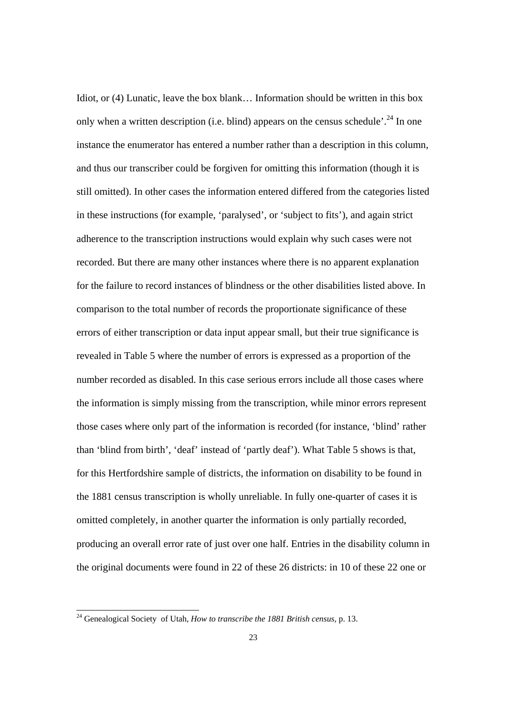Idiot, or (4) Lunatic, leave the box blank… Information should be written in this box only when a written description (i.e. blind) appears on the census schedule'.<sup>24</sup> In one instance the enumerator has entered a number rather than a description in this column, and thus our transcriber could be forgiven for omitting this information (though it is still omitted). In other cases the information entered differed from the categories listed in these instructions (for example, 'paralysed', or 'subject to fits'), and again strict adherence to the transcription instructions would explain why such cases were not recorded. But there are many other instances where there is no apparent explanation for the failure to record instances of blindness or the other disabilities listed above. In comparison to the total number of records the proportionate significance of these errors of either transcription or data input appear small, but their true significance is revealed in Table 5 where the number of errors is expressed as a proportion of the number recorded as disabled. In this case serious errors include all those cases where the information is simply missing from the transcription, while minor errors represent those cases where only part of the information is recorded (for instance, 'blind' rather than 'blind from birth', 'deaf' instead of 'partly deaf'). What Table 5 shows is that, for this Hertfordshire sample of districts, the information on disability to be found in the 1881 census transcription is wholly unreliable. In fully one-quarter of cases it is omitted completely, in another quarter the information is only partially recorded, producing an overall error rate of just over one half. Entries in the disability column in the original documents were found in 22 of these 26 districts: in 10 of these 22 one or

 <sup>24</sup> Genealogical Society of Utah, *How to transcribe the 1881 British census*, p. 13.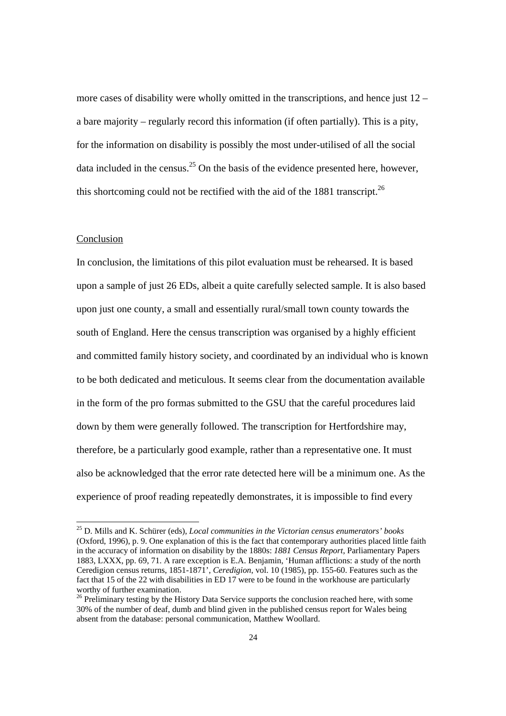more cases of disability were wholly omitted in the transcriptions, and hence just 12 – a bare majority – regularly record this information (if often partially). This is a pity, for the information on disability is possibly the most under-utilised of all the social data included in the census.<sup>25</sup> On the basis of the evidence presented here, however, this shortcoming could not be rectified with the aid of the 1881 transcript.<sup>26</sup>

### Conclusion

In conclusion, the limitations of this pilot evaluation must be rehearsed. It is based upon a sample of just 26 EDs, albeit a quite carefully selected sample. It is also based upon just one county, a small and essentially rural/small town county towards the south of England. Here the census transcription was organised by a highly efficient and committed family history society, and coordinated by an individual who is known to be both dedicated and meticulous. It seems clear from the documentation available in the form of the pro formas submitted to the GSU that the careful procedures laid down by them were generally followed. The transcription for Hertfordshire may, therefore, be a particularly good example, rather than a representative one. It must also be acknowledged that the error rate detected here will be a minimum one. As the experience of proof reading repeatedly demonstrates, it is impossible to find every

 <sup>25</sup> D. Mills and K. Schürer (eds), *Local communities in the Victorian census enumerators' books* (Oxford, 1996), p. 9. One explanation of this is the fact that contemporary authorities placed little faith in the accuracy of information on disability by the 1880s: *1881 Census Report*, Parliamentary Papers 1883, LXXX, pp. 69, 71. A rare exception is E.A. Benjamin, 'Human afflictions: a study of the north Ceredigion census returns, 1851-1871', *Ceredigion*, vol. 10 (1985), pp. 155-60. Features such as the fact that 15 of the 22 with disabilities in ED 17 were to be found in the workhouse are particularly worthy of further examination.<br><sup>26</sup> Preliminary testing by the History Data Service supports the conclusion reached here, with some

<sup>30%</sup> of the number of deaf, dumb and blind given in the published census report for Wales being absent from the database: personal communication, Matthew Woollard.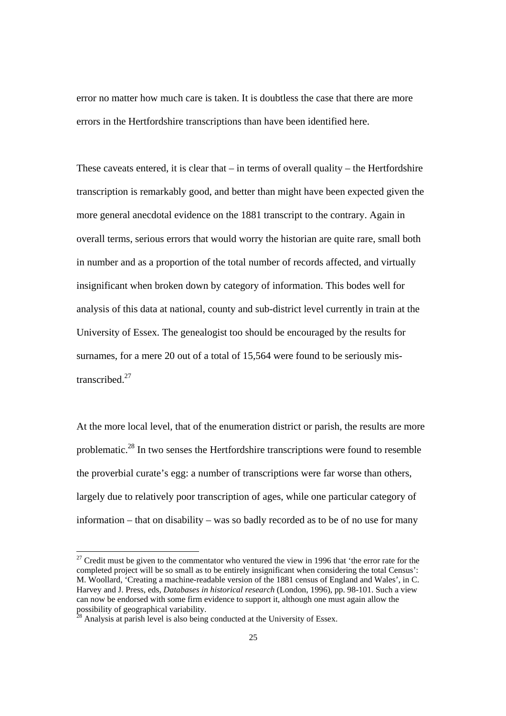error no matter how much care is taken. It is doubtless the case that there are more errors in the Hertfordshire transcriptions than have been identified here.

These caveats entered, it is clear that  $-$  in terms of overall quality  $-$  the Hertfordshire transcription is remarkably good, and better than might have been expected given the more general anecdotal evidence on the 1881 transcript to the contrary. Again in overall terms, serious errors that would worry the historian are quite rare, small both in number and as a proportion of the total number of records affected, and virtually insignificant when broken down by category of information. This bodes well for analysis of this data at national, county and sub-district level currently in train at the University of Essex. The genealogist too should be encouraged by the results for surnames, for a mere 20 out of a total of 15,564 were found to be seriously mistranscribed.27

At the more local level, that of the enumeration district or parish, the results are more problematic.28 In two senses the Hertfordshire transcriptions were found to resemble the proverbial curate's egg: a number of transcriptions were far worse than others, largely due to relatively poor transcription of ages, while one particular category of information – that on disability – was so badly recorded as to be of no use for many

 $27$  Credit must be given to the commentator who ventured the view in 1996 that 'the error rate for the completed project will be so small as to be entirely insignificant when considering the total Census': M. Woollard, 'Creating a machine-readable version of the 1881 census of England and Wales', in C. Harvey and J. Press, eds, *Databases in historical research* (London, 1996), pp. 98-101. Such a view can now be endorsed with some firm evidence to support it, although one must again allow the possibility of geographical variability. 28 Analysis at parish level is also being conducted at the University of Essex.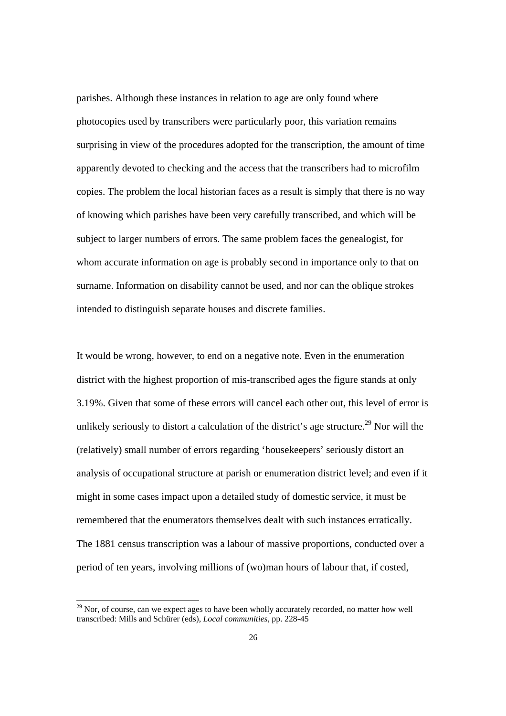parishes. Although these instances in relation to age are only found where photocopies used by transcribers were particularly poor, this variation remains surprising in view of the procedures adopted for the transcription, the amount of time apparently devoted to checking and the access that the transcribers had to microfilm copies. The problem the local historian faces as a result is simply that there is no way of knowing which parishes have been very carefully transcribed, and which will be subject to larger numbers of errors. The same problem faces the genealogist, for whom accurate information on age is probably second in importance only to that on surname. Information on disability cannot be used, and nor can the oblique strokes intended to distinguish separate houses and discrete families.

It would be wrong, however, to end on a negative note. Even in the enumeration district with the highest proportion of mis-transcribed ages the figure stands at only 3.19%. Given that some of these errors will cancel each other out, this level of error is unlikely seriously to distort a calculation of the district's age structure.<sup>29</sup> Nor will the (relatively) small number of errors regarding 'housekeepers' seriously distort an analysis of occupational structure at parish or enumeration district level; and even if it might in some cases impact upon a detailed study of domestic service, it must be remembered that the enumerators themselves dealt with such instances erratically. The 1881 census transcription was a labour of massive proportions, conducted over a period of ten years, involving millions of (wo)man hours of labour that, if costed,

<sup>&</sup>lt;sup>29</sup> Nor, of course, can we expect ages to have been wholly accurately recorded, no matter how well transcribed: Mills and Schürer (eds), *Local communities*, pp. 228-45